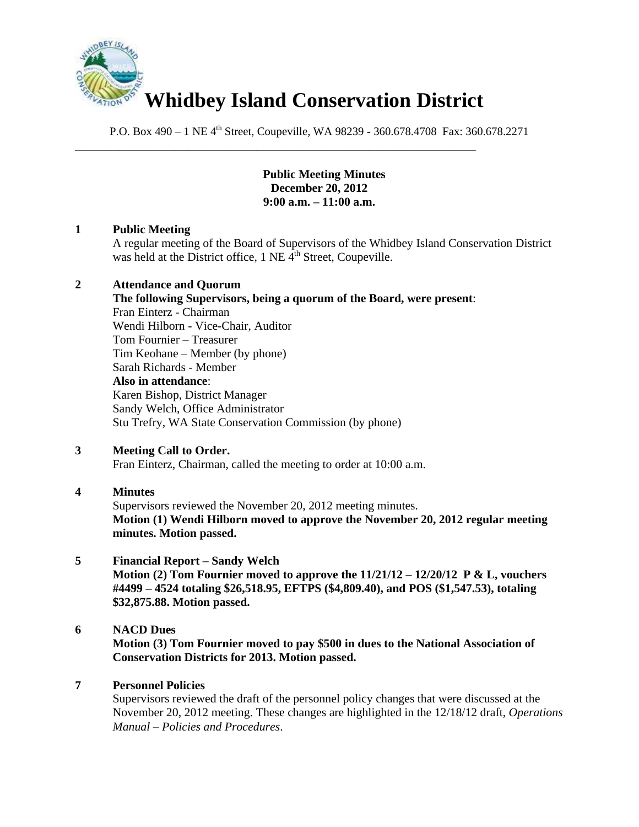

\_\_\_\_\_\_\_\_\_\_\_\_\_\_\_\_\_\_\_\_\_\_\_\_\_\_\_\_\_\_\_\_\_\_\_\_\_\_\_\_\_\_\_\_\_\_\_\_\_\_\_\_\_\_\_\_\_\_\_\_\_\_\_\_

P.O. Box 490 – 1 NE 4<sup>th</sup> Street, Coupeville, WA 98239 - 360.678.4708 Fax: 360.678.2271

**Public Meeting Minutes December 20, 2012 9:00 a.m. – 11:00 a.m.**

## **1 Public Meeting**

A regular meeting of the Board of Supervisors of the Whidbey Island Conservation District was held at the District office,  $1$  NE  $\tilde{4}^{th}$  Street, Coupeville.

## **2 Attendance and Quorum**

**The following Supervisors, being a quorum of the Board, were present**: Fran Einterz - Chairman Wendi Hilborn - Vice-Chair, Auditor Tom Fournier – Treasurer Tim Keohane – Member (by phone) Sarah Richards - Member **Also in attendance**: Karen Bishop, District Manager Sandy Welch, Office Administrator Stu Trefry, WA State Conservation Commission (by phone)

## **3 Meeting Call to Order.**

Fran Einterz, Chairman, called the meeting to order at 10:00 a.m.

## **4 Minutes**

Supervisors reviewed the November 20, 2012 meeting minutes. **Motion (1) Wendi Hilborn moved to approve the November 20, 2012 regular meeting minutes. Motion passed.**

# **5 Financial Report – Sandy Welch**

**Motion (2) Tom Fournier moved to approve the 11/21/12 – 12/20/12 P & L, vouchers #4499 – 4524 totaling \$26,518.95, EFTPS (\$4,809.40), and POS (\$1,547.53), totaling \$32,875.88. Motion passed.**

# **6 NACD Dues**

**Motion (3) Tom Fournier moved to pay \$500 in dues to the National Association of Conservation Districts for 2013. Motion passed.** 

## **7 Personnel Policies**

Supervisors reviewed the draft of the personnel policy changes that were discussed at the November 20, 2012 meeting. These changes are highlighted in the 12/18/12 draft, *Operations Manual – Policies and Procedures*.